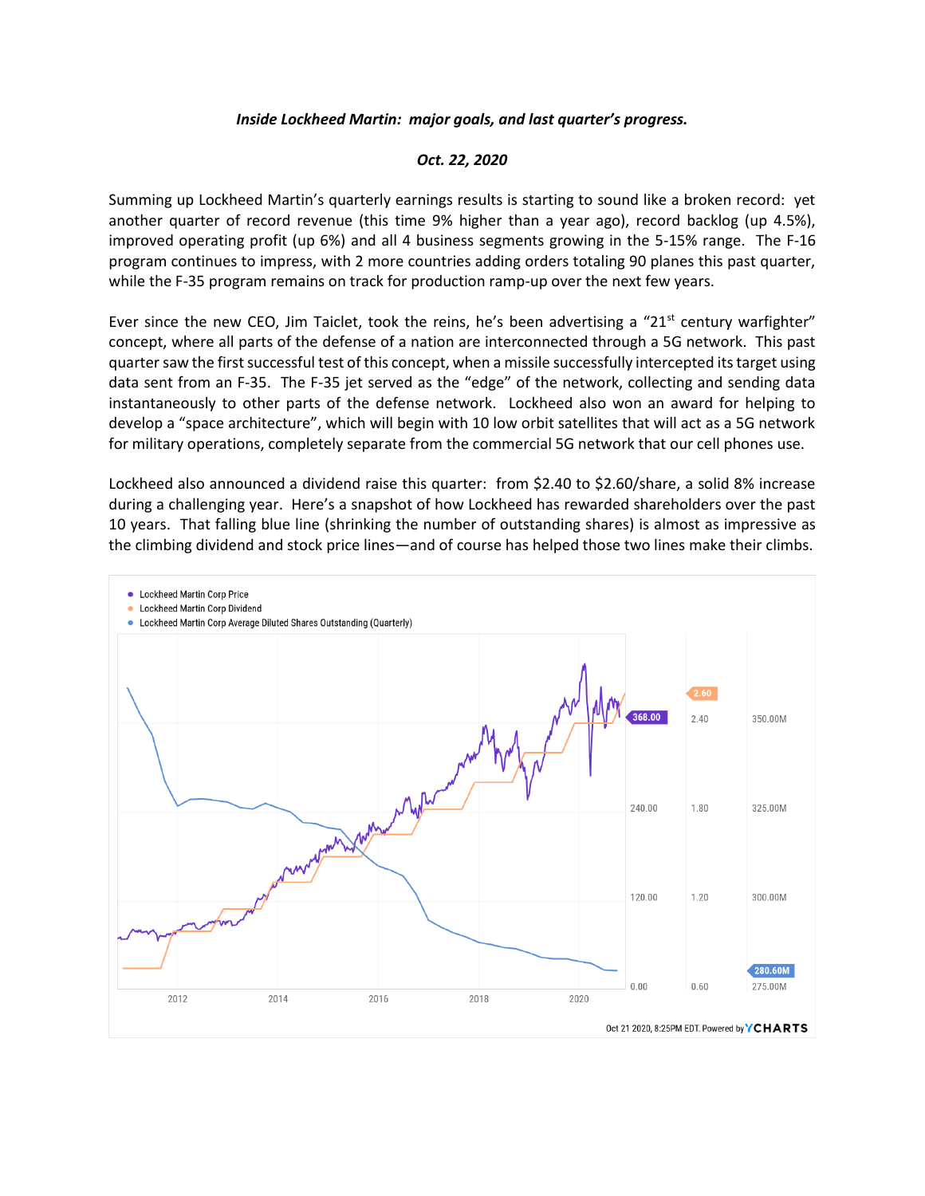## *Inside Lockheed Martin: major goals, and last quarter's progress.*

## *Oct. 22, 2020*

Summing up Lockheed Martin's quarterly earnings results is starting to sound like a broken record: yet another quarter of record revenue (this time 9% higher than a year ago), record backlog (up 4.5%), improved operating profit (up 6%) and all 4 business segments growing in the 5-15% range. The F-16 program continues to impress, with 2 more countries adding orders totaling 90 planes this past quarter, while the F-35 program remains on track for production ramp-up over the next few years.

Ever since the new CEO, Jim Taiclet, took the reins, he's been advertising a "21<sup>st</sup> century warfighter" concept, where all parts of the defense of a nation are interconnected through a 5G network. This past quarter saw the first successful test of this concept, when a missile successfully intercepted its target using data sent from an F-35. The F-35 jet served as the "edge" of the network, collecting and sending data instantaneously to other parts of the defense network. Lockheed also won an award for helping to develop a "space architecture", which will begin with 10 low orbit satellites that will act as a 5G network for military operations, completely separate from the commercial 5G network that our cell phones use.

Lockheed also announced a dividend raise this quarter: from \$2.40 to \$2.60/share, a solid 8% increase during a challenging year. Here's a snapshot of how Lockheed has rewarded shareholders over the past 10 years. That falling blue line (shrinking the number of outstanding shares) is almost as impressive as the climbing dividend and stock price lines—and of course has helped those two lines make their climbs.